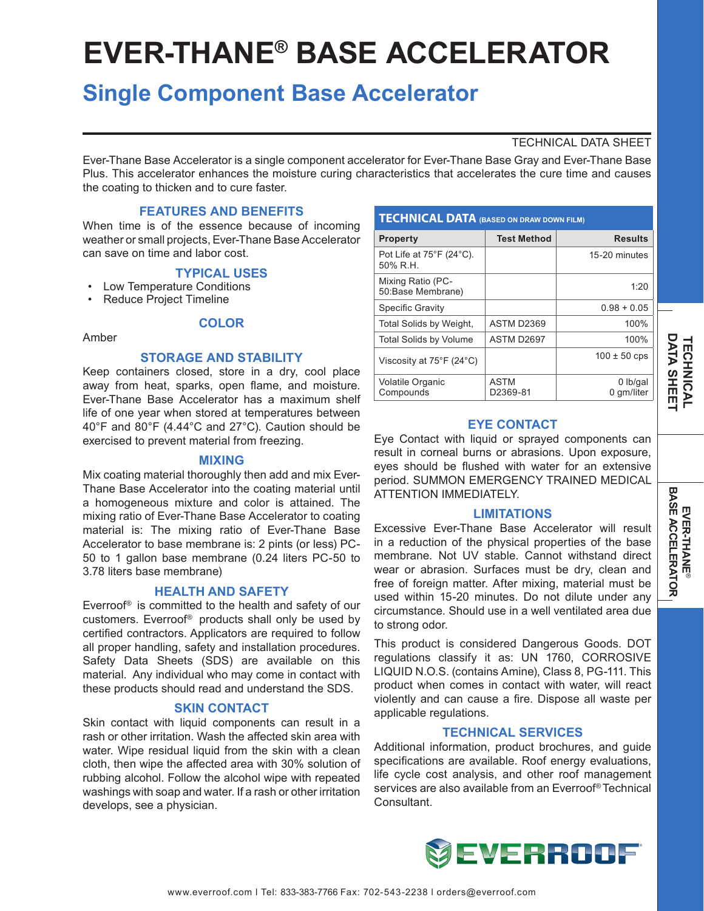# **EVER-THANE® BASE ACCELERATOR**

# **Single Component Base Accelerator**

# TECHNICAL DATA SHEET

Ever-Thane Base Accelerator is a single component accelerator for Ever-Thane Base Gray and Ever-Thane Base Plus. This accelerator enhances the moisture curing characteristics that accelerates the cure time and causes the coating to thicken and to cure faster.

# **FEATURES AND BENEFITS**

When time is of the essence because of incoming weather or small projects, Ever-Thane Base Accelerator can save on time and labor cost.

#### **TYPICAL USES**

- Low Temperature Conditions
- Reduce Project Timeline

# **COLOR**

#### Amber

#### **STORAGE AND STABILITY**

Keep containers closed, store in a dry, cool place away from heat, sparks, open flame, and moisture. Ever-Thane Base Accelerator has a maximum shelf life of one year when stored at temperatures between 40°F and 80°F (4.44°C and 27°C). Caution should be exercised to prevent material from freezing.

#### **MIXING**

Mix coating material thoroughly then add and mix Ever-Thane Base Accelerator into the coating material until a homogeneous mixture and color is attained. The mixing ratio of Ever-Thane Base Accelerator to coating material is: The mixing ratio of Ever-Thane Base Accelerator to base membrane is: 2 pints (or less) PC-50 to 1 gallon base membrane (0.24 liters PC-50 to 3.78 liters base membrane)

#### **HEALTH AND SAFETY**

Everroof® is committed to the health and safety of our customers. Everroof® products shall only be used by certified contractors. Applicators are required to follow all proper handling, safety and installation procedures. Safety Data Sheets (SDS) are available on this material. Any individual who may come in contact with these products should read and understand the SDS.

#### **SKIN CONTACT**

Skin contact with liquid components can result in a rash or other irritation. Wash the affected skin area with water. Wipe residual liquid from the skin with a clean cloth, then wipe the affected area with 30% solution of rubbing alcohol. Follow the alcohol wipe with repeated washings with soap and water. If a rash or other irritation develops, see a physician.

| <b>TECHNICAL DATA (BASED ON DRAW DOWN FILM)</b>           |                         |                          |
|-----------------------------------------------------------|-------------------------|--------------------------|
| <b>Property</b>                                           | <b>Test Method</b>      | <b>Results</b>           |
| Pot Life at $75^{\circ}$ F (24 $^{\circ}$ C).<br>50% R.H. |                         | 15-20 minutes            |
| Mixing Ratio (PC-<br>50:Base Membrane)                    |                         | 1:20                     |
| Specific Gravity                                          |                         | $0.98 + 0.05$            |
| Total Solids by Weight,                                   | ASTM D2369              | 100%                     |
| <b>Total Solids by Volume</b>                             | ASTM D2697              | 100%                     |
| Viscosity at 75°F (24°C)                                  |                         | $100 \pm 50$ cps         |
| <b>Volatile Organic</b><br>Compounds                      | <b>ASTM</b><br>D2369-81 | $0$ lb/gal<br>0 gm/liter |

# **EYE CONTACT**

Eye Contact with liquid or sprayed components can result in corneal burns or abrasions. Upon exposure, eyes should be flushed with water for an extensive period. SUMMON EMERGENCY TRAINED MEDICAL ATTENTION IMMEDIATELY.

#### **LIMITATIONS**

Excessive Ever-Thane Base Accelerator will result in a reduction of the physical properties of the base membrane. Not UV stable. Cannot withstand direct wear or abrasion. Surfaces must be dry, clean and free of foreign matter. After mixing, material must be used within 15-20 minutes. Do not dilute under any circumstance. Should use in a well ventilated area due to strong odor.

This product is considered Dangerous Goods. DOT regulations classify it as: UN 1760, CORROSIVE LIQUID N.O.S. (contains Amine), Class 8, PG-111. This product when comes in contact with water, will react violently and can cause a fire. Dispose all waste per applicable regulations.

#### **TECHNICAL SERVICES**

Additional information, product brochures, and guide specifications are available. Roof energy evaluations, life cycle cost analysis, and other roof management services are also available from an Everroof® Technical Consultant.



**DATA SHEET DATA SHEET TECHNICAL** *TECHNICAL*